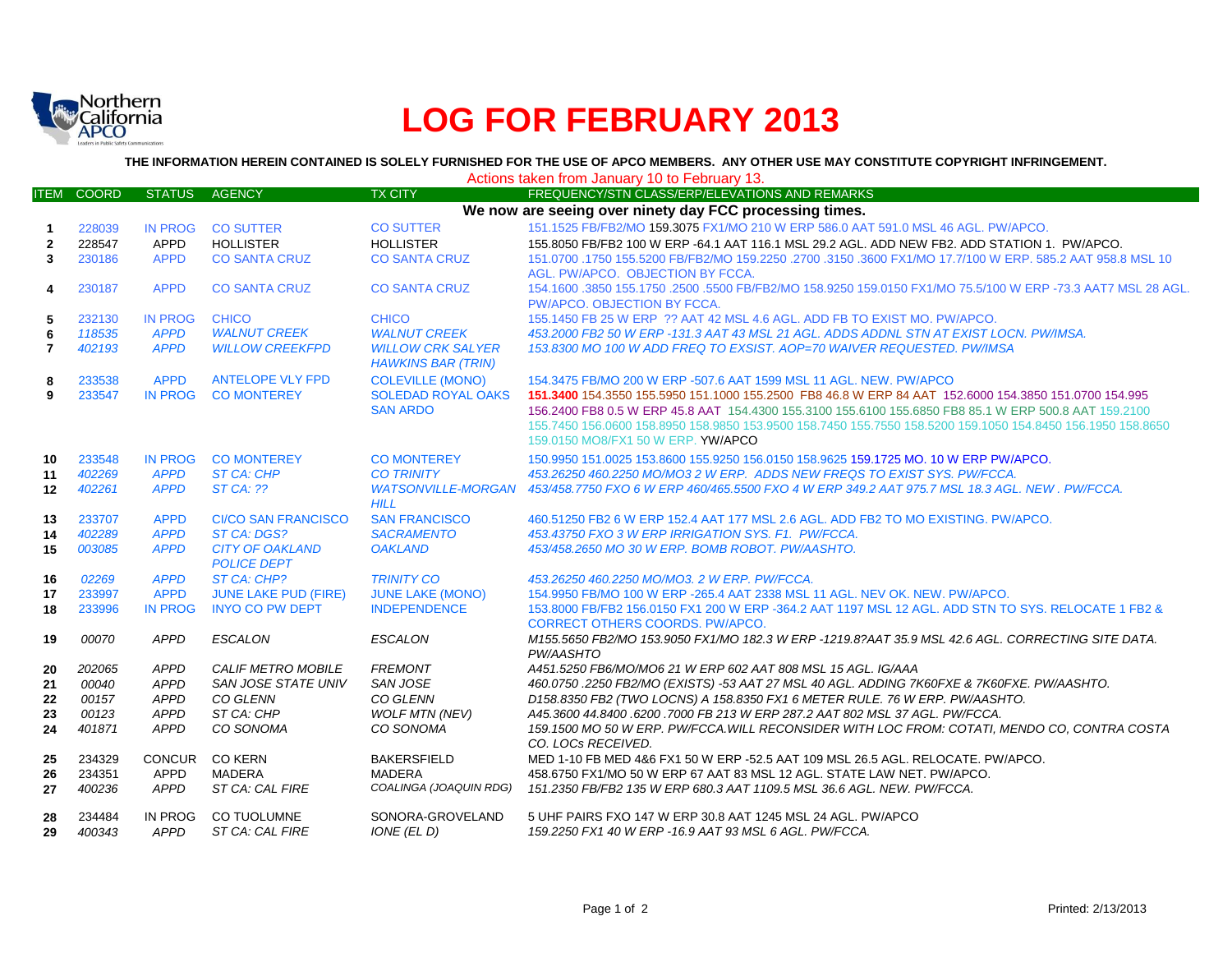

# **LOG FOR FEBRUARY 2013**

**THE INFORMATION HEREIN CONTAINED IS SOLELY FURNISHED FOR THE USE OF APCO MEMBERS. ANY OTHER USE MAY CONSTITUTE COPYRIGHT INFRINGEMENT.**

ITEM COORD STATUS AGENCY TALL TX CITY FREQUENCY/STN CLASS/ERP/ELEVATIONS AND REMARKS 228039 IN PROG CO SUTTER CO SUTTER 151.1525 FB/FB2/MO 159.3075 FX1/MO 210 W ERP 586.0 AAT 591.0 MSL 46 AGL. PW/APCO. 228547 APPD HOLLISTER HOLLISTER 155.8050 FB/FB2 100 W ERP -64.1 AAT 116.1 MSL 29.2 AGL. ADD NEW FB2. ADD STATION 1. PW/APCO. 230186 APPD CO SANTA CRUZ CO SANTA CRUZ 151.0700 .1750 155.5200 FB/FB2/MO 159.2250 .2700 .3150 .3600 FX1/MO 17.7/100 W ERP. 585.2 AAT 958.8 MSL 10 AGL. PW/APCO. OBJECTION BY FCCA. 230187 APPD CO SANTA CRUZ CO SANTA CRUZ 154.1600 .3850 155.1750 .2500 .5500 FB/FB2/MO 158.9250 159.0150 FX1/MO 75.5/100 W ERP -73.3 AAT7 MSL 28 AGL. PW/APCO. OBJECTION BY FCCA. 232130 IN PROG CHICO CHICO 155.1450 FB 25 W ERP ?? AAT 42 MSL 4.6 AGL. ADD FB TO EXIST MO. PW/APCO. *118535 APPD WALNUT CREEK WALNUT CREEK 453.2000 FB2 50 W ERP -131.3 AAT 43 MSL 21 AGL. ADDS ADDNL STN AT EXIST LOCN. PW/IMSA. 402193 APPD WILLOW CREEKFPD WILLOW CRK SALYER HAWKINS BAR (TRIN) 153.8300 MO 100 W ADD FREQ TO EXSIST. AOP=70 WAIVER REQUESTED. PW/IMSA* 233538 APPD ANTELOPE VLY FPD COLEVILLE (MONO) 154.3475 FB/MO 200 W ERP -507.6 AAT 1599 MSL 11 AGL. NEW. PW/APCO 233547 IN PROG CO MONTEREY SOLEDAD ROYAL OAKS SAN ARDO **151.3400** 154.3550 155.5950 151.1000 155.2500 FB8 46.8 W ERP 84 AAT 152.6000 154.3850 151.0700 154.995 156.2400 FB8 0.5 W ERP 45.8 AAT 154.4300 155.3100 155.6100 155.6850 FB8 85.1 W ERP 500.8 AAT 159.2100 155.7450 156.0600 158.8950 158.9850 153.9500 158.7450 155.7550 158.5200 159.1050 154.8450 156.1950 158.8650 159.0150 MO8/FX1 50 W ERP. YW/APCO 233548 IN PROG CO MONTEREY CO MONTEREY 150.9950 151.0025 153.8600 155.9250 156.0150 158.9625 159.1725 MO. 10 W ERP PW/APCO. *402269 APPD ST CA: CHP CO TRINITY 453.26250 460.2250 MO/MO3 2 W ERP. ADDS NEW FREQS TO EXIST SYS. PW/FCCA. 402261 APPD ST CA: ?? WATSONVILLE-MORGAN HILL 453/458.7750 FXO 6 W ERP 460/465.5500 FXO 4 W ERP 349.2 AAT 975.7 MSL 18.3 AGL. NEW . PW/FCCA.* 233707 APPD CI/CO SAN FRANCISCO SAN FRANCISCO 460.51250 FB2 6 W ERP 152.4 AAT 177 MSL 2.6 AGL. ADD FB2 TO MO EXISTING. PW/APCO. *402289 APPD ST CA: DGS? SACRAMENTO 453.43750 FXO 3 W ERP IRRIGATION SYS. F1. PW/FCCA. 003085 APPD CITY OF OAKLAND POLICE DEPT OAKLAND 453/458.2650 MO 30 W ERP. BOMB ROBOT. PW/AASHTO. 02269 APPD ST CA: CHP? TRINITY CO 453.26250 460.2250 MO/MO3. 2 W ERP. PW/FCCA.* 233997 APPD JUNE LAKE PUD (FIRE) JUNE LAKE (MONO) 154.9950 FB/MO 100 W ERP -265.4 AAT 2338 MSL 11 AGL. NEV OK. NEW. PW/APCO. 233996 IN PROG INYO CO PW DEPT INDEPENDENCE 153.8000 FB/FB2 156.0150 FX1 200 W ERP -364.2 AAT 1197 MSL 12 AGL. ADD STN TO SYS. RELOCATE 1 FB2 & CORRECT OTHERS COORDS. PW/APCO. *00070 APPD ESCALON ESCALON M155.5650 FB2/MO 153.9050 FX1/MO 182.3 W ERP -1219.8?AAT 35.9 MSL 42.6 AGL. CORRECTING SITE DATA. PW/AASHTO 202065 APPD CALIF METRO MOBILE FREMONT A451.5250 FB6/MO/MO6 21 W ERP 602 AAT 808 MSL 15 AGL. IG/AAA 00040 APPD SAN JOSE STATE UNIV SAN JOSE 460.0750 .2250 FB2/MO (EXISTS) -53 AAT 27 MSL 40 AGL. ADDING 7K60FXE & 7K60FXE. PW/AASHTO. 00157 APPD CO GLENN CO GLENN D158.8350 FB2 (TWO LOCNS) A 158.8350 FX1 6 METER RULE. 76 W ERP. PW/AASHTO. 00123 APPD ST CA: CHP WOLF MTN (NEV) A45.3600 44.8400 .6200 .7000 FB 213 W ERP 287.2 AAT 802 MSL 37 AGL. PW/FCCA. 401871 APPD CO SONOMA CO SONOMA 159.1500 MO 50 W ERP. PW/FCCA.WILL RECONSIDER WITH LOC FROM: COTATI, MENDO CO, CONTRA COSTA CO. LOCs RECEIVED.* 234329 CONCUR CO KERN BAKERSFIELD MED 1-10 FB MED 4&6 FX1 50 W ERP -52.5 AAT 109 MSL 26.5 AGL. RELOCATE. PW/APCO. 234351 APPD MADERA MADERA 458.6750 FX1/MO 50 W ERP 67 AAT 83 MSL 12 AGL. STATE LAW NET. PW/APCO. *400236 APPD ST CA: CAL FIRE COALINGA (JOAQUIN RDG) 151.2350 FB/FB2 135 W ERP 680.3 AAT 1109.5 MSL 36.6 AGL. NEW. PW/FCCA.* 234484 IN PROG CO TUOLUMNE SONORA-GROVELAND 5 UHF PAIRS FXO 147 W ERP 30.8 AAT 1245 MSL 24 AGL. PW/APCO *400343 APPD ST CA: CAL FIRE IONE (EL D) 159.2250 FX1 40 W ERP -16.9 AAT 93 MSL 6 AGL. PW/FCCA.* Actions taken from January 10 to February 13. **We now are seeing over ninety day FCC processing times.**